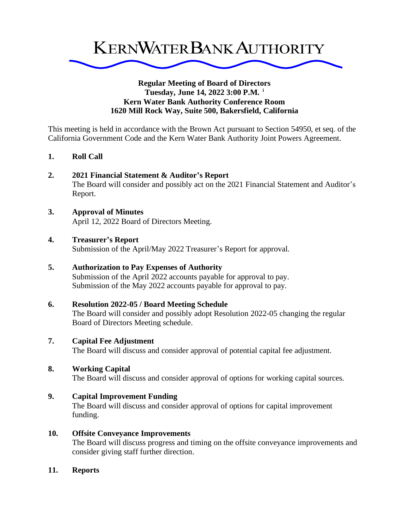

### **Regular Meeting of Board of Directors Tuesday, June 14, 2022 3:00 P.M. <sup>i</sup> Kern Water Bank Authority Conference Room 1620 Mill Rock Way, Suite 500, Bakersfield, California**

This meeting is held in accordance with the Brown Act pursuant to Section 54950, et seq. of the California Government Code and the Kern Water Bank Authority Joint Powers Agreement.

**1. Roll Call**

### **2. 2021 Financial Statement & Auditor's Report**

The Board will consider and possibly act on the 2021 Financial Statement and Auditor's Report.

### **3. Approval of Minutes**

April 12, 2022 Board of Directors Meeting.

### **4. Treasurer's Report**

Submission of the April/May 2022 Treasurer's Report for approval.

## **5. Authorization to Pay Expenses of Authority**

Submission of the April 2022 accounts payable for approval to pay. Submission of the May 2022 accounts payable for approval to pay.

# **6. Resolution 2022-05 / Board Meeting Schedule**

The Board will consider and possibly adopt Resolution 2022-05 changing the regular Board of Directors Meeting schedule.

### **7. Capital Fee Adjustment**

The Board will discuss and consider approval of potential capital fee adjustment.

# **8. Working Capital**

The Board will discuss and consider approval of options for working capital sources.

# **9. Capital Improvement Funding**

The Board will discuss and consider approval of options for capital improvement funding.

# **10. Offsite Conveyance Improvements**

The Board will discuss progress and timing on the offsite conveyance improvements and consider giving staff further direction.

### **11. Reports**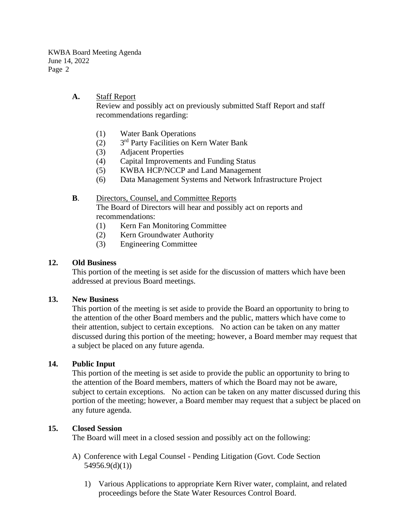KWBA Board Meeting Agenda June 14, 2022 Page 2

**A.** Staff Report

Review and possibly act on previously submitted Staff Report and staff recommendations regarding:

- (1) Water Bank Operations
- $(2)$ 3<sup>rd</sup> Party Facilities on Kern Water Bank
- (3) Adjacent Properties
- (4) Capital Improvements and Funding Status
- (5) KWBA HCP/NCCP and Land Management
- (6) Data Management Systems and Network Infrastructure Project

### **B.** Directors, Counsel, and Committee Reports

The Board of Directors will hear and possibly act on reports and recommendations:

- (1) Kern Fan Monitoring Committee
- (2) Kern Groundwater Authority
- (3) Engineering Committee

### **12. Old Business**

This portion of the meeting is set aside for the discussion of matters which have been addressed at previous Board meetings.

### **13. New Business**

This portion of the meeting is set aside to provide the Board an opportunity to bring to the attention of the other Board members and the public, matters which have come to their attention, subject to certain exceptions. No action can be taken on any matter discussed during this portion of the meeting; however, a Board member may request that a subject be placed on any future agenda.

## **14. Public Input**

This portion of the meeting is set aside to provide the public an opportunity to bring to the attention of the Board members, matters of which the Board may not be aware, subject to certain exceptions. No action can be taken on any matter discussed during this portion of the meeting; however, a Board member may request that a subject be placed on any future agenda.

### **15. Closed Session**

The Board will meet in a closed session and possibly act on the following:

- A) Conference with Legal Counsel Pending Litigation (Govt. Code Section 54956.9(d)(1))
	- 1) Various Applications to appropriate Kern River water, complaint, and related proceedings before the State Water Resources Control Board.